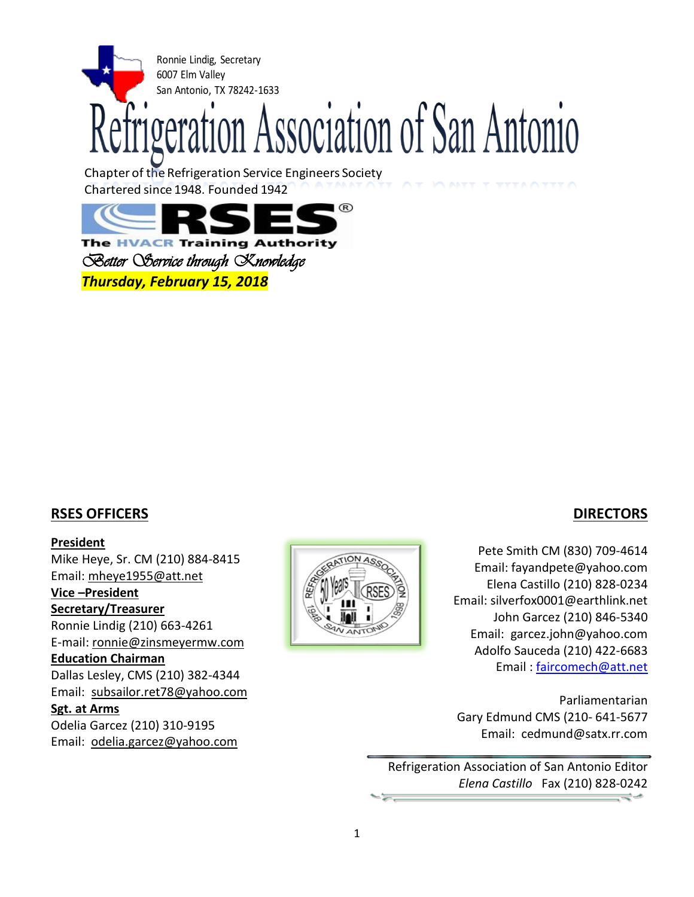

Chapter of the Refrigeration Service Engineers Society Chartered since 1948, Founded 1942



**The HVACR Training Authority** *Better Service through Knowledge Thursday, February 15, 2018*

### **RSES OFFICERS**

### **President**

Mike Heye, Sr. CM (210) 884-8415 Email: [mheye1955@att.net](mailto:mheye1955@att.net) **Vice –President Secretary/Treasurer**

Ronnie Lindig (210) 663-4261 E-mail: [ronnie@zinsmeyermw.com](mailto:ronnie@zinsmeyermw.com)

### **Education Chairman**

Dallas Lesley, CMS (210) 382-4344 Email: [subsailor.ret78@yahoo.com](mailto:subsailor.ret78@yahoo.com)

#### **Sgt. at Arms**

Odelia Garcez (210) 310-9195 Email: odelia.garcez@yahoo.com



## **DIRECTORS**

Pete Smith CM (830) 709-4614 Email: fayandpete@yahoo.com Elena Castillo (210) 828-0234 Email: silverfox0001@earthlink.net John Garcez (210) 846-5340 Email: [garcez.john@yahoo.com](mailto:garcez.john@yahoo.com) Adolfo Sauceda (210) 422-6683 Email : [faircomech@att.net](mailto:faircomech@att.net)

Parliamentarian Gary Edmund CMS (210- 641-5677 Email: cedmund@satx.rr.com

Refrigeration Association of San Antonio Editor *Elena Castillo* Fax (210) 828-0242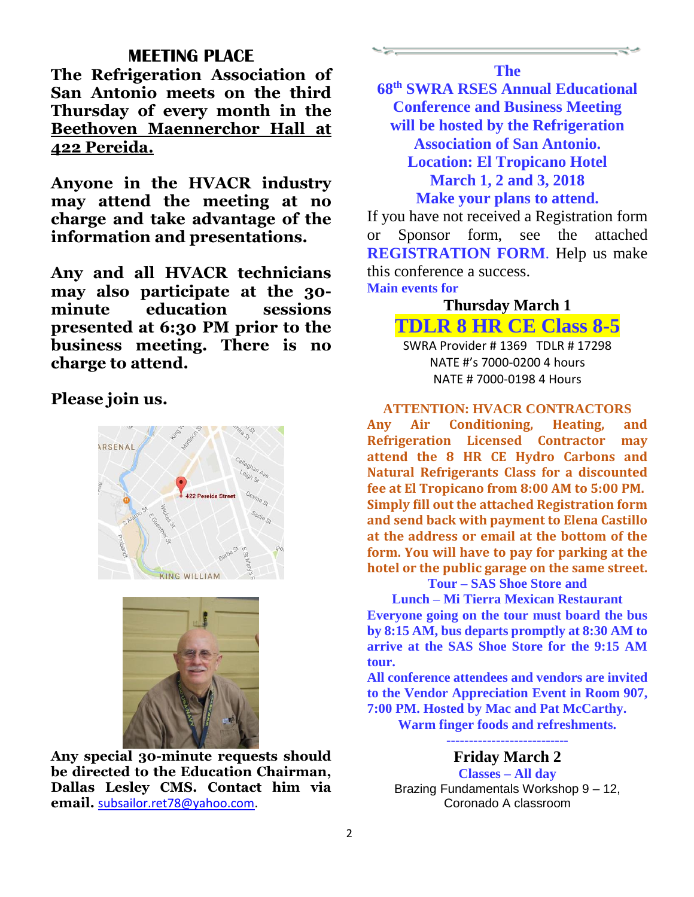## **MEETING PLACE**

**The Refrigeration Association of San Antonio meets on the third Thursday of every month in the Beethoven Maennerchor Hall at 422 Pereida.**

**Anyone in the HVACR industry may attend the meeting at no charge and take advantage of the information and presentations.** 

**Any and all HVACR technicians may also participate at the 30 minute education sessions presented at 6:30 PM prior to the business meeting. There is no charge to attend.**

**Please join us.**





**Any special 30-minute requests should be directed to the Education Chairman, Dallas Lesley CMS. Contact him via email.** [subsailor.ret78@yahoo.com.](mailto:subsailor.ret78@yahoo.com)

**The**

**68th SWRA RSES Annual Educational Conference and Business Meeting will be hosted by the Refrigeration Association of San Antonio. Location: El Tropicano Hotel March 1, 2 and 3, 2018 Make your plans to attend.**

If you have not received a Registration form or Sponsor form, see the attached **REGISTRATION FORM**. Help us make this conference a success. **Main events for**

> **Thursday March 1 TDLR 8 HR CE Class 8-5** SWRA Provider # 1369 TDLR # 17298 NATE #'s 7000-0200 4 hours NATE # 7000-0198 4 Hours

#### **ATTENTION: HVACR CONTRACTORS**

**Any Air Conditioning, Heating, and Refrigeration Licensed Contractor may attend the 8 HR CE Hydro Carbons and Natural Refrigerants Class for a discounted fee at El Tropicano from 8:00 AM to 5:00 PM. Simply fill out the attached Registration form and send back with payment to Elena Castillo at the address or email at the bottom of the form. You will have to pay for parking at the hotel or the public garage on the same street.**

### **Tour – SAS Shoe Store and**

**Lunch – Mi Tierra Mexican Restaurant Everyone going on the tour must board the bus by 8:15 AM, bus departs promptly at 8:30 AM to arrive at the SAS Shoe Store for the 9:15 AM tour.**

**All conference attendees and vendors are invited to the Vendor Appreciation Event in Room 907, 7:00 PM. Hosted by Mac and Pat McCarthy.**

**Warm finger foods and refreshments.**

**---------------------------**

**Friday March 2**

**Classes – All day** Brazing Fundamentals Workshop 9 – 12, Coronado A classroom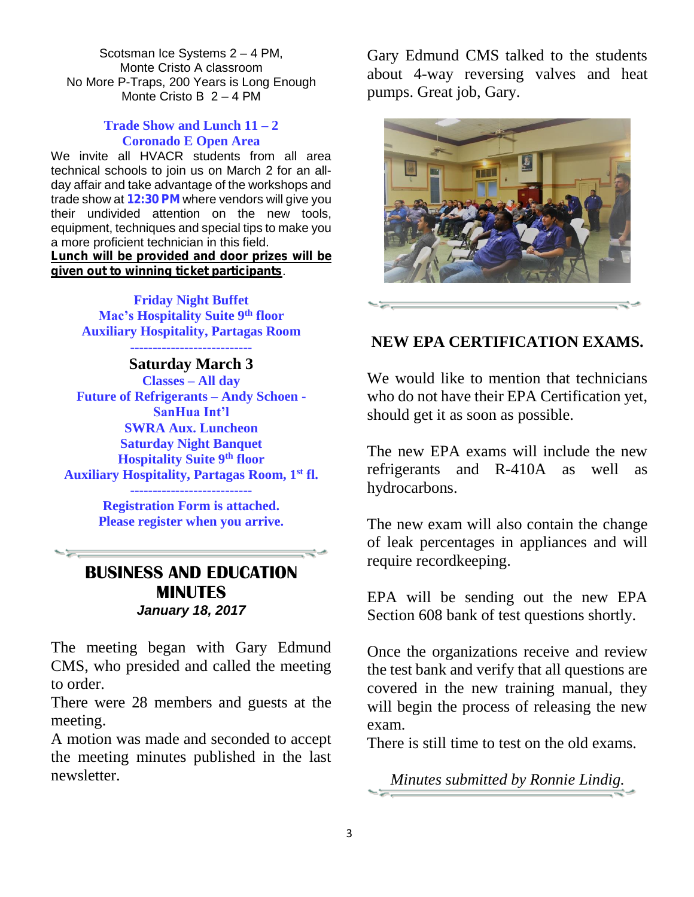Scotsman Ice Systems 2 – 4 PM, Monte Cristo A classroom No More P-Traps, 200 Years is Long Enough Monte Cristo B 2 – 4 PM

### **Trade Show and Lunch 11 – 2 Coronado E Open Area**

We invite all HVACR students from all area technical schools to join us on March 2 for an allday affair and take advantage of the workshops and trade show at 12:30 PM where vendors will give you their undivided attention on the new tools, equipment, techniques and special tips to make you a more proficient technician in this field. Lunch will be provided and door prizes will be

given out to winning ticket participants.

**Friday Night Buffet Mac's Hospitality Suite 9th floor Auxiliary Hospitality, Partagas Room ---------------------------**

**Saturday March 3 Classes – All day Future of Refrigerants – Andy Schoen - SanHua Int'l SWRA Aux. Luncheon Saturday Night Banquet Hospitality Suite 9th floor Auxiliary Hospitality, Partagas Room, 1st fl.**

> **--------------------------- Registration Form is attached. Please register when you arrive.**

# **BUSINESS AND EDUCATION MINUTES** *January 18, 2017*

The meeting began with Gary Edmund CMS, who presided and called the meeting to order.

There were 28 members and guests at the meeting.

A motion was made and seconded to accept the meeting minutes published in the last newsletter.

Gary Edmund CMS talked to the students about 4-way reversing valves and heat pumps. Great job, Gary.



# **NEW EPA CERTIFICATION EXAMS.**

We would like to mention that technicians who do not have their EPA Certification yet, should get it as soon as possible.

The new EPA exams will include the new refrigerants and R-410A as well as hydrocarbons.

The new exam will also contain the change of leak percentages in appliances and will require recordkeeping.

EPA will be sending out the new EPA Section 608 bank of test questions shortly.

Once the organizations receive and review the test bank and verify that all questions are covered in the new training manual, they will begin the process of releasing the new exam.

There is still time to test on the old exams.

*Minutes submitted by Ronnie Lindig.*